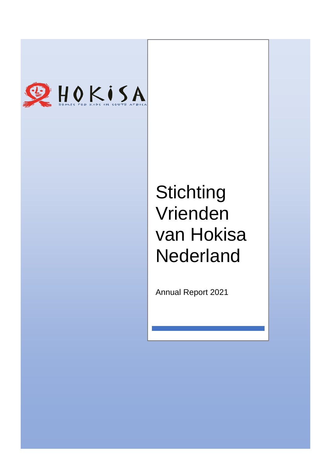

# **Stichting** Vrienden van Hokisa **Nederland**

Annual Report 2021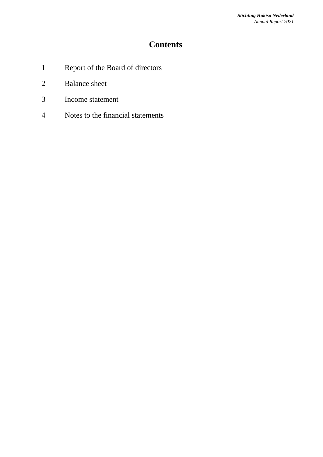## **Contents**

- 1 Report of the Board of directors
- 2 Balance sheet
- 3 Income statement
- 4 Notes to the financial statements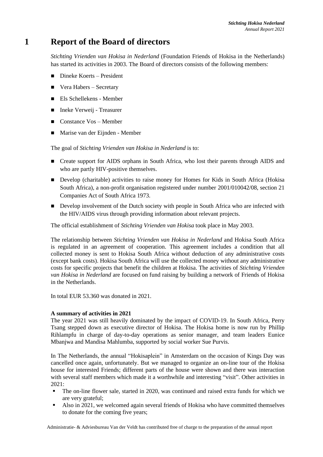## **1 Report of the Board of directors**

*Stichting Vrienden van Hokisa in Nederland* (Foundation Friends of Hokisa in the Netherlands) has started its activities in 2003. The Board of directors consists of the following members:

- Dineke Koerts President
- $\blacksquare$  Vera Habers Secretary
- Els Schellekens Member
- Ineke Verweij Treasurer
- Constance Vos Member
- Marise van der Eijnden Member

The goal of *Stichting Vrienden van Hokisa in Nederland* is to:

- Create support for AIDS orphans in South Africa, who lost their parents through AIDS and who are partly HIV-positive themselves.
- Develop (charitable) activities to raise money for Homes for Kids in South Africa (Hokisa South Africa), a non-profit organisation registered under number 2001/010042/08, section 21 Companies Act of South Africa 1973.
- Develop involvement of the Dutch society with people in South Africa who are infected with the HIV/AIDS virus through providing information about relevant projects.

The official establishment of *Stichting Vrienden van Hokisa* took place in May 2003.

The relationship between *Stichting Vrienden van Hokisa in Nederland* and Hokisa South Africa is regulated in an agreement of cooperation. This agreement includes a condition that all collected money is sent to Hokisa South Africa without deduction of any administrative costs (except bank costs). Hokisa South Africa will use the collected money without any administrative costs for specific projects that benefit the children at Hokisa. The activities of *Stichting Vrienden van Hokisa in Nederland* are focused on fund raising by building a network of Friends of Hokisa in the Netherlands.

In total EUR 53.360 was donated in 2021.

#### **A summary of activities in 2021**

The year 2021 was still heavily dominated by the impact of COVID-19. In South Africa, Perry Tsang stepped down as executive director of Hokisa. The Hokisa home is now run by Phillip Rihlampfu in charge of day-to-day operations as senior manager, and team leaders Eunice Mbanjwa and Mandisa Mahlumba, supported by social worker Sue Purvis.

In The Netherlands, the annual "Hokisaplein" in Amsterdam on the occasion of Kings Day was cancelled once again, unfortunately. But we managed to organize an on-line tour of the Hokisa house for interested Friends; different parts of the house were shown and there was interaction with several staff members which made it a worthwhile and interesting "visit". Other activities in 2021:

- The on-line flower sale, started in 2020, was continued and raised extra funds for which we are very grateful;
- Also in 2021, we welcomed again several friends of Hokisa who have committed themselves to donate for the coming five years;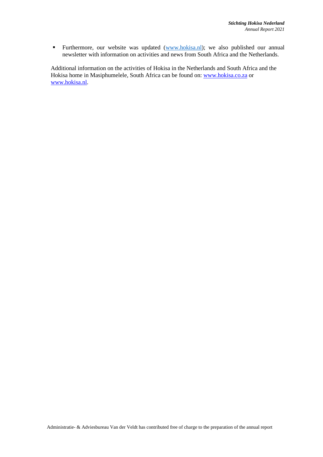**Eurthermore, our website was updated [\(www.hokisa.nl\)](http://www.hokisa.nl/); we also published our annual** newsletter with information on activities and news from South Africa and the Netherlands.

Additional information on the activities of Hokisa in the Netherlands and South Africa and the Hokisa home in Masiphumelele, South Africa can be found on: [www.hokisa.co.za](file:///D:/Program%20Files/Program%20Files/Qualcomm/Eudora%20Mail/Local%20Settings/Temporary%20Internet%20Files/OLK13/www.hokisa.co.za) or [www.hokisa.nl.](file:///D:/Program%20Files/Program%20Files/Qualcomm/Eudora%20Mail/Local%20Settings/Temporary%20Internet%20Files/OLK13/www.hokisa.nl)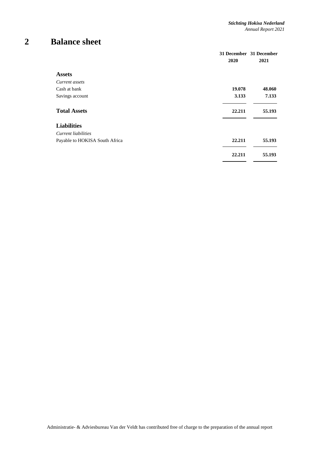# **2 Balance sheet**

|                                | 2020   | 31 December 31 December<br>2021 |
|--------------------------------|--------|---------------------------------|
| <b>Assets</b>                  |        |                                 |
| Current assets                 |        |                                 |
| Cash at bank                   | 19.078 | 48.060                          |
| Savings account                | 3.133  | 7.133                           |
| <b>Total Assets</b>            | 22.211 | 55.193                          |
| <b>Liabilities</b>             |        |                                 |
| Current liabilities            |        |                                 |
| Payable to HOKISA South Africa | 22.211 | 55.193                          |
|                                | 22.211 | 55.193                          |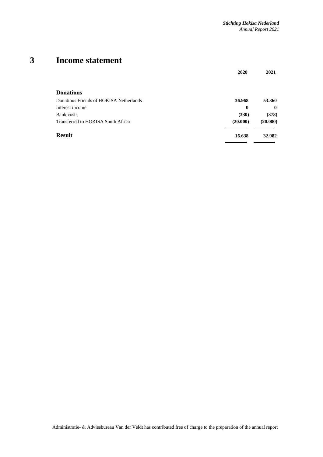# **3 Income statement**

|                                         | 2020     | 2021         |
|-----------------------------------------|----------|--------------|
| <b>Donations</b>                        |          |              |
| Donations Friends of HOKISA Netherlands | 36.968   | 53.360       |
| Interest income                         | $\bf{0}$ | $\mathbf{0}$ |
| <b>Bank</b> costs                       | (330)    | (378)        |
| Transferred to HOKISA South Africa      | (20.000) | (20.000)     |
| <b>Result</b>                           | 16.638   | 32.982       |